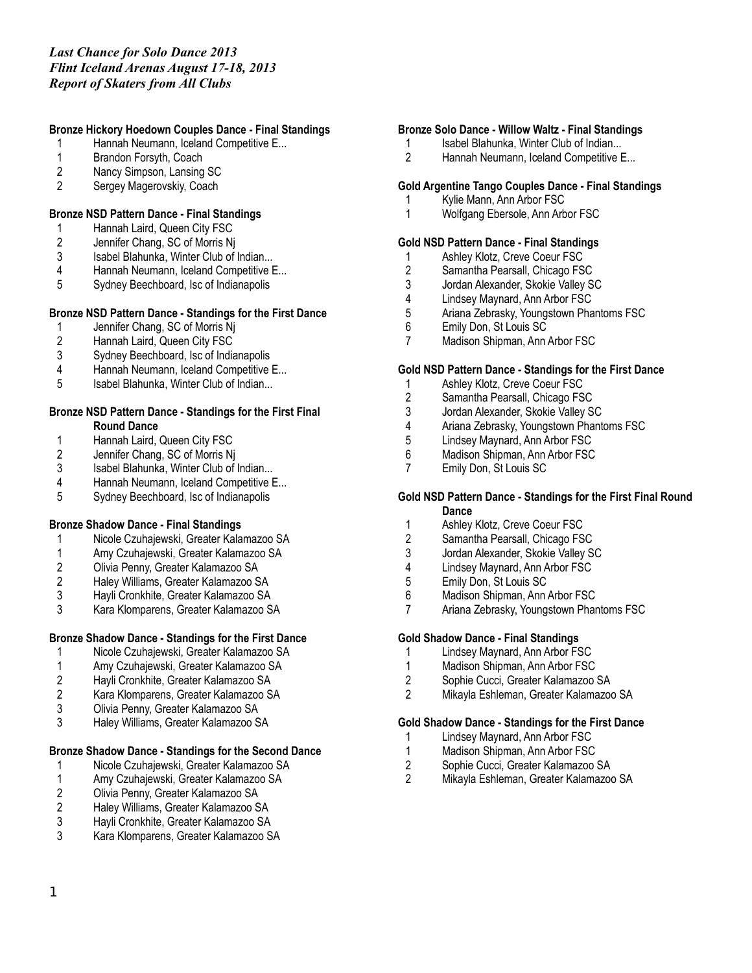## **Bronze Hickory Hoedown Couples Dance - Final Standings**

- 1 Hannah Neumann, Iceland Competitive E...
- 1 Brandon Forsyth, Coach<br>2 Nancy Simpson, Lansing
- Nancy Simpson, Lansing SC
- 2 Sergey Magerovskiy, Coach

## **Bronze NSD Pattern Dance - Final Standings**

- 1 Hannah Laird, Queen City FSC
- 2 Jennifer Chang, SC of Morris Nj
- 3 Isabel Blahunka, Winter Club of Indian...<br>4 Hannah Neumann, Iceland Competitive E
- 4 Hannah Neumann, Iceland Competitive E...
- 5 Sydney Beechboard, Isc of Indianapolis

## **Bronze NSD Pattern Dance - Standings for the First Dance**

- 
- 1 Jennifer Chang, SC of Morris Nj<br>2 Hannah Laird, Queen City FSC 2 Hannah Laird, Queen City FSC<br>3 Sydney Beechboard, Isc of India
- Sydney Beechboard, Isc of Indianapolis
- 4 Hannah Neumann, Iceland Competitive E...
- 5 Isabel Blahunka, Winter Club of Indian...

### **Bronze NSD Pattern Dance - Standings for the First Final Round Dance**

- 1 Hannah Laird, Queen City FSC<br>2 Jennifer Chang, SC of Morris Ni
- 2 Jennifer Chang, SC of Morris Nj<br>3 Isabel Blahunka. Winter Club of I
- 3 Isabel Blahunka, Winter Club of Indian...<br>4 Hannah Neumann. Iceland Competitive E
- 4 Hannah Neumann, Iceland Competitive E...
- 5 Sydney Beechboard, Isc of Indianapolis

## **Bronze Shadow Dance - Final Standings**

- 1 Nicole Czuhajewski, Greater Kalamazoo SA
- 1 Amy Czuhajewski, Greater Kalamazoo SA<br>2 Olivia Penny, Greater Kalamazoo SA
- 2 Olivia Penny, Greater Kalamazoo SA
- 2 Haley Williams, Greater Kalamazoo SA
- 3 Hayli Cronkhite, Greater Kalamazoo SA
- 3 Kara Klomparens, Greater Kalamazoo SA

# **Bronze Shadow Dance - Standings for the First Dance**

- 1 Nicole Czuhajewski, Greater Kalamazoo SA
- 
- 1 Amy Czuhajewski, Greater Kalamazoo SA<br>2 Hayli Cronkhite, Greater Kalamazoo SA
- 2 Hayli Cronkhite, Greater Kalamazoo SA 2 Kara Klomparens, Greater Kalamazoo SA
- 
- 3 Olivia Penny, Greater Kalamazoo SA 3 Haley Williams, Greater Kalamazoo SA

## **Bronze Shadow Dance - Standings for the Second Dance**

- 1 Nicole Czuhajewski, Greater Kalamazoo SA
- 1 Amy Czuhajewski, Greater Kalamazoo SA<br>2 Olivia Penny, Greater Kalamazoo SA
- 2 Olivia Penny, Greater Kalamazoo SA<br>2 Halev Williams. Greater Kalamazoo S
- 2 Haley Williams, Greater Kalamazoo SA<br>3 Havli Cronkhite. Greater Kalamazoo SA
- 3 Hayli Cronkhite, Greater Kalamazoo SA
- 3 Kara Klomparens, Greater Kalamazoo SA

### **Bronze Solo Dance - Willow Waltz - Final Standings**

- 1 Isabel Blahunka, Winter Club of Indian...
- 2 Hannah Neumann, Iceland Competitive E...

### **Gold Argentine Tango Couples Dance - Final Standings**

- 1 Kylie Mann, Ann Arbor FSC
- 1 Wolfgang Ebersole, Ann Arbor FSC

# **Gold NSD Pattern Dance - Final Standings**

- 1 Ashley Klotz, Creve Coeur FSC<br>2 Samantha Pearsall, Chicago FS
- 2 Samantha Pearsall, Chicago FSC<br>3 Jordan Alexander, Skokie Valley S
- 3 Jordan Alexander, Skokie Valley SC<br>4 Lindsey Maynard, Ann Arbor FSC
- 4 Lindsey Maynard, Ann Arbor FSC<br>5 Ariana Zebrasky, Youngstown Pha
- 5 Ariana Zebrasky, Youngstown Phantoms FSC
- 6 Emily Don, St Louis SC
- 7 Madison Shipman, Ann Arbor FSC

### **Gold NSD Pattern Dance - Standings for the First Dance**

- 1 Ashley Klotz, Creve Coeur FSC
- 2 Samantha Pearsall, Chicago FSC
- 3 Jordan Alexander, Skokie Valley SC<br>4 Ariana Zebrasky. Youngstown Phant
- 4 Ariana Zebrasky, Youngstown Phantoms FSC
- 5 Lindsey Maynard, Ann Arbor FSC
- 6 Madison Shipman, Ann Arbor FSC<br>7 Emily Don. St Louis SC
- 7 Emily Don, St Louis SC

### **Gold NSD Pattern Dance - Standings for the First Final Round Dance**

- 1 Ashley Klotz, Creve Coeur FSC
- 2 Samantha Pearsall, Chicago FSC
- 3 Jordan Alexander, Skokie Valley SC<br>4 Indsey Maynard Ann Arbor FSC
- Lindsey Maynard, Ann Arbor FSC
- 
- 5 Emily Don, St Louis SC<br>6 Madison Shipman, Ann
- 6 Madison Shipman, Ann Arbor FSC 7 Ariana Zebrasky, Youngstown Phantoms FSC

## **Gold Shadow Dance - Final Standings**

- 1 Lindsey Maynard, Ann Arbor FSC
- 1 Madison Shipman, Ann Arbor FSC<br>2 Sophie Cucci. Greater Kalamazoo
- 
- 2 Sophie Cucci, Greater Kalamazoo SA<br>2 Mikavla Eshleman, Greater Kalamazoo 2 Mikayla Eshleman, Greater Kalamazoo SA

## **Gold Shadow Dance - Standings for the First Dance**

- 1 Lindsey Maynard, Ann Arbor FSC
- 1 Madison Shipman, Ann Arbor FSC<br>2 Sophie Cucci, Greater Kalamazoo
- 2 Sophie Cucci, Greater Kalamazoo SA<br>2 Mikavla Eshleman, Greater Kalamazoo
- 2 Mikayla Eshleman, Greater Kalamazoo SA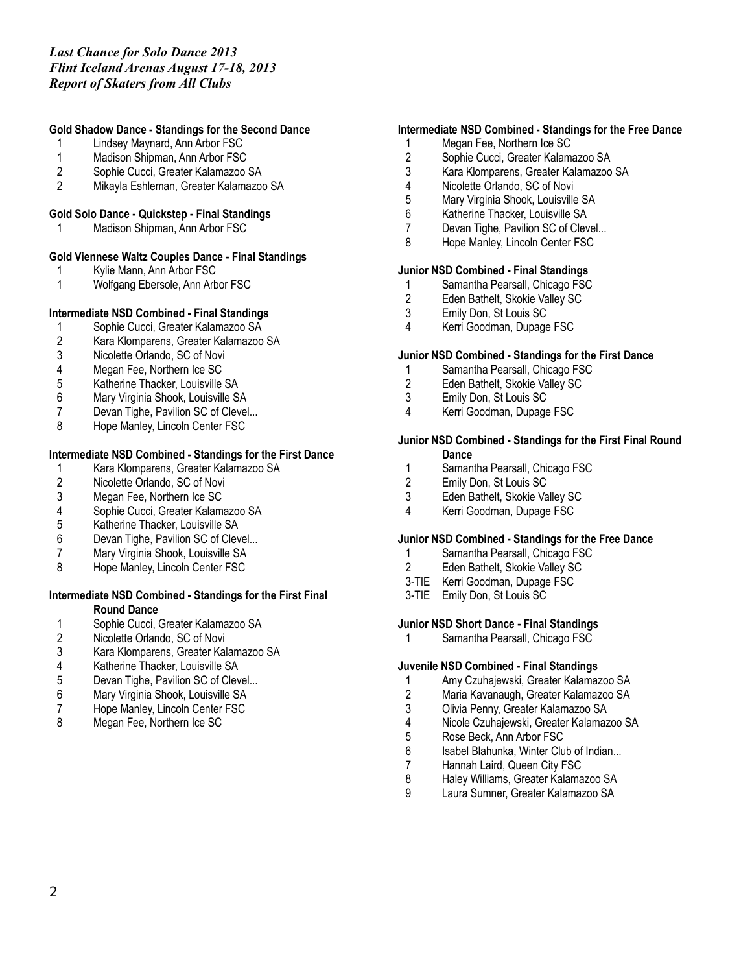## **Gold Shadow Dance - Standings for the Second Dance**

- 1 Lindsey Maynard, Ann Arbor FSC
- 1 Madison Shipman, Ann Arbor FSC<br>2 Sophie Cucci. Greater Kalamazoo 9
- 2 Sophie Cucci, Greater Kalamazoo SA
- 2 Mikayla Eshleman, Greater Kalamazoo SA

### **Gold Solo Dance - Quickstep - Final Standings**

1 Madison Shipman, Ann Arbor FSC

# **Gold Viennese Waltz Couples Dance - Final Standings**

- 1 Kylie Mann, Ann Arbor FSC
- 1 Wolfgang Ebersole, Ann Arbor FSC

### **Intermediate NSD Combined - Final Standings**

- 
- 1 Sophie Cucci, Greater Kalamazoo SA<br>2 Kara Klomparens, Greater Kalamazoo 2 Kara Klomparens, Greater Kalamazoo SA
- Nicolette Orlando, SC of Novi
- 4 Megan Fee, Northern Ice SC
- 5 Katherine Thacker, Louisville SA
- 6 Mary Virginia Shook, Louisville SA
- 7 Devan Tighe, Pavilion SC of Clevel...<br>8 Hope Manlev. Lincoln Center FSC
- Hope Manley, Lincoln Center FSC

### **Intermediate NSD Combined - Standings for the First Dance**

- 1 Kara Klomparens, Greater Kalamazoo SA
- Nicolette Orlando, SC of Novi
- 3 Megan Fee, Northern Ice SC
- 4 Sophie Cucci, Greater Kalamazoo SA<br>5 Katherine Thacker. Louisville SA
- 5 Katherine Thacker, Louisville SA
- 6 Devan Tighe, Pavilion SC of Clevel...
- 7 Mary Virginia Shook, Louisville SA<br>8 Hope Manley, Lincoln Center FSC
- Hope Manley, Lincoln Center FSC

### **Intermediate NSD Combined - Standings for the First Final Round Dance**

- 1 Sophie Cucci, Greater Kalamazoo SA<br>2 Nicolette Orlando, SC of Novi
- 2 Nicolette Orlando, SC of Novi<br>3 Kara Klomparens. Greater Kala
- 3 Kara Klomparens, Greater Kalamazoo SA
- 
- 4 Katherine Thacker, Louisville SA<br>5 Devan Tighe, Pavilion SC of Clev Devan Tighe, Pavilion SC of Clevel...
- 6 Mary Virginia Shook, Louisville SA
- 7 Hope Manley, Lincoln Center FSC<br>8 Megan Fee, Northern Ice SC
- Megan Fee, Northern Ice SC

## **Intermediate NSD Combined - Standings for the Free Dance**

- 1 Megan Fee, Northern Ice SC
- 2 Sophie Cucci, Greater Kalamazoo SA<br>3 Kara Klomparens. Greater Kalamazoo
- 3 Kara Klomparens, Greater Kalamazoo SA
- 4 Nicolette Orlando, SC of Novi
- 5 Mary Virginia Shook, Louisville SA
- 6 Katherine Thacker, Louisville SA
- 7 Devan Tighe, Pavilion SC of Clevel...
- 8 Hope Manley, Lincoln Center FSC

### **Junior NSD Combined - Final Standings**

- 1 Samantha Pearsall, Chicago FSC<br>2 Eden Bathelt, Skokie Vallev SC
- 2 Eden Bathelt, Skokie Valley SC<br>3 Emily Don. St Louis SC
- Emily Don, St Louis SC
- 4 Kerri Goodman, Dupage FSC

### **Junior NSD Combined - Standings for the First Dance**

- 1 Samantha Pearsall, Chicago FSC
- 2 Eden Bathelt, Skokie Valley SC
- 3 Emily Don, St Louis SC
- 4 Kerri Goodman, Dupage FSC

### **Junior NSD Combined - Standings for the First Final Round Dance**

- 1 Samantha Pearsall, Chicago FSC<br>2 Emily Don. St Louis SC
- 2 Emily Don, St Louis SC
- 3 Eden Bathelt, Skokie Valley SC
- 4 Kerri Goodman, Dupage FSC

### **Junior NSD Combined - Standings for the Free Dance**

- 1 Samantha Pearsall, Chicago FSC<br>2 Eden Bathelt, Skokie Vallev SC
- Eden Bathelt, Skokie Valley SC
- 3-TIE Kerri Goodman, Dupage FSC
- 3-TIE Emily Don, St Louis SC

### **Junior NSD Short Dance - Final Standings**

1 Samantha Pearsall, Chicago FSC

#### **Juvenile NSD Combined - Final Standings**

- 1 Amy Czuhajewski, Greater Kalamazoo SA
- 2 Maria Kavanaugh, Greater Kalamazoo SA
- 3 Olivia Penny, Greater Kalamazoo SA<br>4 Nicole Czuhaiewski. Greater Kalamaz
- 4 Nicole Czuhajewski, Greater Kalamazoo SA
- 5 Rose Beck, Ann Arbor FSC
- 6 Isabel Blahunka, Winter Club of Indian...<br>7 Hannah Laird. Queen City FSC
- 7 Hannah Laird, Queen City FSC<br>8 Halev Williams, Greater Kalama
- 8 Haley Williams, Greater Kalamazoo SA
- 9 Laura Sumner, Greater Kalamazoo SA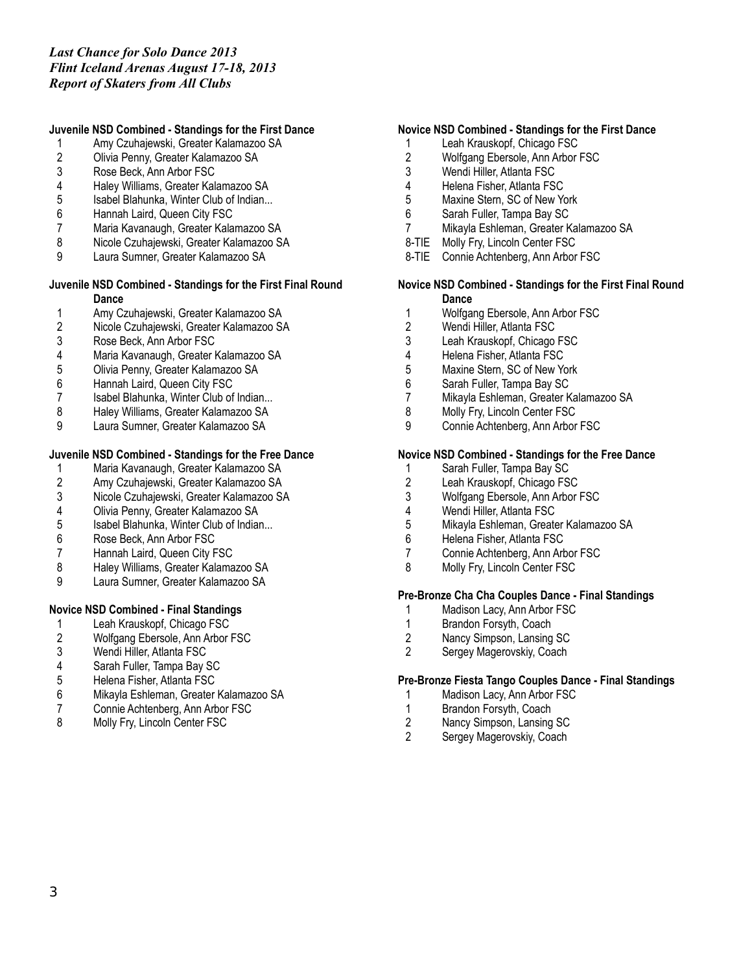## **Juvenile NSD Combined - Standings for the First Dance**

- 1 Amy Czuhajewski, Greater Kalamazoo SA
- 2 Olivia Penny, Greater Kalamazoo SA<br>3 Rose Beck. Ann Arbor FSC
- 3 Rose Beck, Ann Arbor FSC<br>4 Halev Williams. Greater Kala
- 4 Haley Williams, Greater Kalamazoo SA
- 5 Isabel Blahunka, Winter Club of Indian...<br>6 Hannah Laird. Queen City FSC
- Hannah Laird, Queen City FSC
- 7 Maria Kavanaugh, Greater Kalamazoo SA
- 8 Nicole Czuhajewski, Greater Kalamazoo SA<br>9 Laura Sumner. Greater Kalamazoo SA
- Laura Sumner, Greater Kalamazoo SA

### **Juvenile NSD Combined - Standings for the First Final Round Dance**

- 1 Amy Czuhajewski, Greater Kalamazoo SA<br>2 Nicole Czuhajewski, Greater Kalamazoo SA
- 2 Nicole Czuhajewski, Greater Kalamazoo SA<br>3 Rose Beck. Ann Arbor FSC
- 3 Rose Beck, Ann Arbor FSC<br>4 Maria Kavanaugh, Greater H
- 4 Maria Kavanaugh, Greater Kalamazoo SA
- 5 Olivia Penny, Greater Kalamazoo SA
- 6 Hannah Laird, Queen City FSC
- 7 Isabel Blahunka, Winter Club of Indian...
- 8 Haley Williams, Greater Kalamazoo SA<br>9 Laura Sumner, Greater Kalamazoo SA
- Laura Sumner, Greater Kalamazoo SA

## **Juvenile NSD Combined - Standings for the Free Dance**

- 1 Maria Kavanaugh, Greater Kalamazoo SA
- 2 Amy Czuhajewski, Greater Kalamazoo SA
- 3 Nicole Czuhajewski, Greater Kalamazoo SA
- 
- 4 Olivia Penny, Greater Kalamazoo SA<br>5 Sabel Blahunka, Winter Club of Indian Isabel Blahunka, Winter Club of Indian...
- 6 Rose Beck, Ann Arbor FSC
- 7 Hannah Laird, Queen City FSC<br>8 Halev Williams, Greater Kalama
- 8 Haley Williams, Greater Kalamazoo SA
- 9 Laura Sumner, Greater Kalamazoo SA

## **Novice NSD Combined - Final Standings**

- 1 Leah Krauskopf, Chicago FSC<br>2 Wolfgang Ebersole, Ann Arbor I
- 2 Wolfgang Ebersole, Ann Arbor FSC<br>3 Wendi Hiller. Atlanta FSC
- Wendi Hiller, Atlanta FSC
- 
- 4 Sarah Fuller, Tampa Bay SC 5 Helena Fisher, Atlanta FSC
- 6 Mikayla Eshleman, Greater Kalamazoo SA
- 7 Connie Achtenberg, Ann Arbor FSC<br>8 Molly Fry. Lincoln Center FSC
- Molly Fry, Lincoln Center FSC

## **Novice NSD Combined - Standings for the First Dance**

- 1 Leah Krauskopf, Chicago FSC
- 2 Wolfgang Ebersole, Ann Arbor FSC<br>3 Wendi Hiller. Atlanta FSC
- Wendi Hiller, Atlanta FSC
- 4 Helena Fisher, Atlanta FSC
- 5 Maxine Stern, SC of New York
- 6 Sarah Fuller, Tampa Bay SC
- 7 Mikayla Eshleman, Greater Kalamazoo SA
- 8-TIE Molly Fry, Lincoln Center FSC
- 8-TIE Connie Achtenberg, Ann Arbor FSC

### **Novice NSD Combined - Standings for the First Final Round Dance**

- 1 Wolfgang Ebersole, Ann Arbor FSC
- 2 Wendi Hiller, Atlanta FSC
- 3 Leah Krauskopf, Chicago FSC
- 4 Helena Fisher, Atlanta FSC
- 5 Maxine Stern, SC of New York
- 6 Sarah Fuller, Tampa Bay SC
- 7 Mikayla Eshleman, Greater Kalamazoo SA
- 8 Molly Fry, Lincoln Center FSC<br>9 Connie Achtenberg, Ann Arbor
- Connie Achtenberg, Ann Arbor FSC

### **Novice NSD Combined - Standings for the Free Dance**

- 1 Sarah Fuller, Tampa Bay SC<br>2 Leah Krauskopf. Chicago FS
- Leah Krauskopf, Chicago FSC
- 3 Wolfgang Ebersole, Ann Arbor FSC
- 4 Wendi Hiller, Atlanta FSC<br>5 Mikavla Eshleman, Greate
- 5 Mikayla Eshleman, Greater Kalamazoo SA
- 6 Helena Fisher, Atlanta FSC
- 7 Connie Achtenberg, Ann Arbor FSC<br>8 Molly Fry Lincoln Center FSC
- Molly Fry, Lincoln Center FSC

# **Pre-Bronze Cha Cha Couples Dance - Final Standings**

- 1 Madison Lacy, Ann Arbor FSC
- 1 Brandon Forsyth, Coach<br>2 Nancy Simpson, Lansing
- 2 Nancy Simpson, Lansing SC
- 2 Sergey Magerovskiy, Coach

### **Pre-Bronze Fiesta Tango Couples Dance - Final Standings**

- 1 Madison Lacy, Ann Arbor FSC
- 1 Brandon Forsyth, Coach<br>2 Nancy Simpson, Lansing
- 2 Nancy Simpson, Lansing SC<br>2 Sergey Magerovskiv Coach
- Sergey Magerovskiy, Coach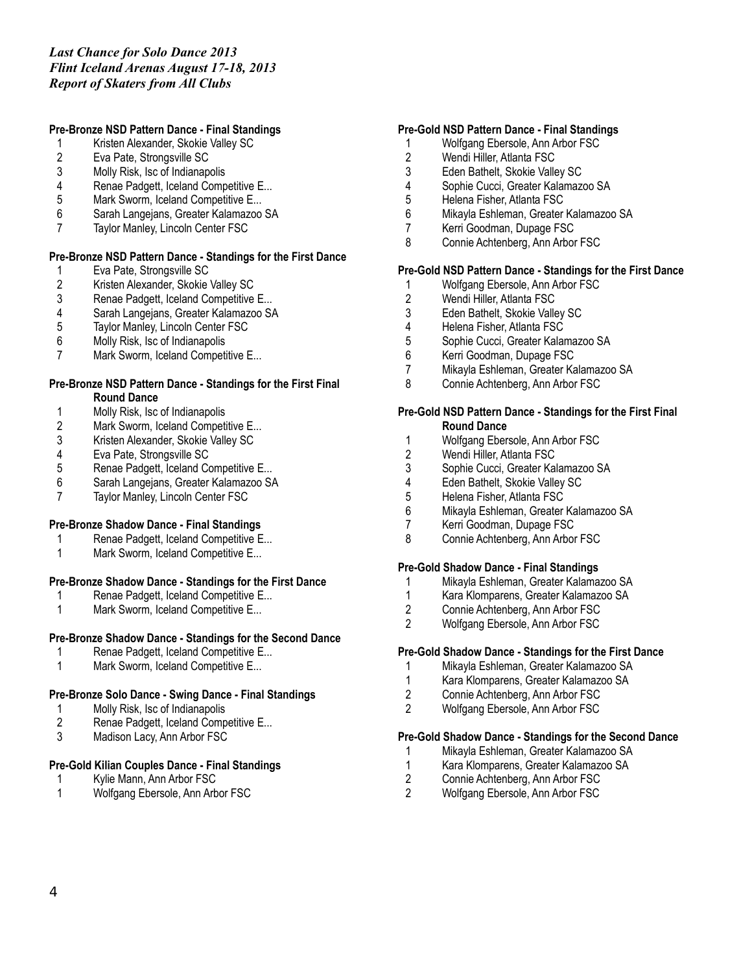## **Pre-Bronze NSD Pattern Dance - Final Standings**

- 1 Kristen Alexander, Skokie Valley SC
- 2 Eva Pate, Strongsville SC<br>3 Molly Risk, Isc of Indianap
- 3 Molly Risk, Isc of Indianapolis
- Renae Padgett, Iceland Competitive E...
- 5 Mark Sworm, Iceland Competitive E...
- 6 Sarah Langejans, Greater Kalamazoo SA
- 7 Taylor Manley, Lincoln Center FSC

## **Pre-Bronze NSD Pattern Dance - Standings for the First Dance**

- Eva Pate, Strongsville SC
- 2 Kristen Alexander, Skokie Valley SC<br>3 Renae Padgett, Iceland Competitive
- 3 Renae Padgett, Iceland Competitive E...<br>4 Sarah Langeians. Greater Kalamazoo SA
- 4 Sarah Langejans, Greater Kalamazoo SA
- Taylor Manley, Lincoln Center FSC
- 6 Molly Risk, Isc of Indianapolis
- 7 Mark Sworm, Iceland Competitive E...

#### **Pre-Bronze NSD Pattern Dance - Standings for the First Final Round Dance**

- 
- 1 Molly Risk, Isc of Indianapolis<br>2 Mark Sworm, Iceland Competi
- 2 Mark Sworm, Iceland Competitive E...<br>3 Kristen Alexander, Skokie Valley SC 3 Kristen Alexander, Skokie Valley SC
- 4 Eva Pate, Strongsville SC
- 5 Renae Padgett, Iceland Competitive E...<br>6 Sarah Langeians. Greater Kalamazoo SA
- 6 Sarah Langejans, Greater Kalamazoo SA
- 7 Taylor Manley, Lincoln Center FSC

## **Pre-Bronze Shadow Dance - Final Standings**

- 1 Renae Padgett, Iceland Competitive E...
- 1 Mark Sworm, Iceland Competitive E...

## **Pre-Bronze Shadow Dance - Standings for the First Dance**

- 1 Renae Padgett, Iceland Competitive E...
- 1 Mark Sworm, Iceland Competitive E...

# **Pre-Bronze Shadow Dance - Standings for the Second Dance**

- 1 Renae Padgett, Iceland Competitive E...
- 1 Mark Sworm, Iceland Competitive E...

# **Pre-Bronze Solo Dance - Swing Dance - Final Standings**

- 1 Molly Risk, Isc of Indianapolis<br>2 Renae Padgett, Iceland Comp
- 2 Renae Padgett, Iceland Competitive E...<br>3 Madison Lacy. Ann Arbor FSC
- Madison Lacy, Ann Arbor FSC

# **Pre-Gold Kilian Couples Dance - Final Standings**

- 1 Kylie Mann, Ann Arbor FSC
- 1 Wolfgang Ebersole, Ann Arbor FSC

# **Pre-Gold NSD Pattern Dance - Final Standings**

- 1 Wolfgang Ebersole, Ann Arbor FSC
- 2 Wendi Hiller, Atlanta FSC
- 3 Eden Bathelt, Skokie Valley SC
- 4 Sophie Cucci, Greater Kalamazoo SA
- 5 Helena Fisher, Atlanta FSC
- 6 Mikayla Eshleman, Greater Kalamazoo SA
- 7 Kerri Goodman, Dupage FSC
- 8 Connie Achtenberg, Ann Arbor FSC

# **Pre-Gold NSD Pattern Dance - Standings for the First Dance**

- 1 Wolfgang Ebersole, Ann Arbor FSC<br>2 Wendi Hiller. Atlanta FSC
- 2 Wendi Hiller, Atlanta FSC<br>3 Eden Bathelt, Skokie Valle
- 3 Eden Bathelt, Skokie Valley SC
- 4 Helena Fisher, Atlanta FSC
- 5 Sophie Cucci, Greater Kalamazoo SA
- 6 Kerri Goodman, Dupage FSC
- 7 Mikayla Eshleman, Greater Kalamazoo SA
- 8 Connie Achtenberg, Ann Arbor FSC

## **Pre-Gold NSD Pattern Dance - Standings for the First Final Round Dance**

- 1 Wolfgang Ebersole, Ann Arbor FSC
- 2 Wendi Hiller, Atlanta FSC<br>3 Sophie Cucci, Greater Kal
- 3 Sophie Cucci, Greater Kalamazoo SA<br>4 Eden Bathelt. Skokie Vallev SC
- 4 Eden Bathelt, Skokie Valley SC
- 5 Helena Fisher, Atlanta FSC
- 6 Mikayla Eshleman, Greater Kalamazoo SA
- 7 Kerri Goodman, Dupage FSC
- 8 Connie Achtenberg, Ann Arbor FSC

# **Pre-Gold Shadow Dance - Final Standings**

- 1 Mikayla Eshleman, Greater Kalamazoo SA
- 1 Kara Klomparens, Greater Kalamazoo SA<br>2 Connie Achtenberg. Ann Arbor FSC
- 2 Connie Achtenberg, Ann Arbor FSC
- 2 Wolfgang Ebersole, Ann Arbor FSC

# **Pre-Gold Shadow Dance - Standings for the First Dance**

- 1 Mikayla Eshleman, Greater Kalamazoo SA
- 1 Kara Klomparens, Greater Kalamazoo SA<br>2 Connie Achtenberg. Ann Arbor FSC
- 2 Connie Achtenberg, Ann Arbor FSC
- 2 Wolfgang Ebersole, Ann Arbor FSC

# **Pre-Gold Shadow Dance - Standings for the Second Dance**

- 1 Mikayla Eshleman, Greater Kalamazoo SA
- 1 Kara Klomparens, Greater Kalamazoo SA<br>2 Connie Achtenberg. Ann Arbor FSC
- 2 Connie Achtenberg, Ann Arbor FSC
- 2 Wolfgang Ebersole, Ann Arbor FSC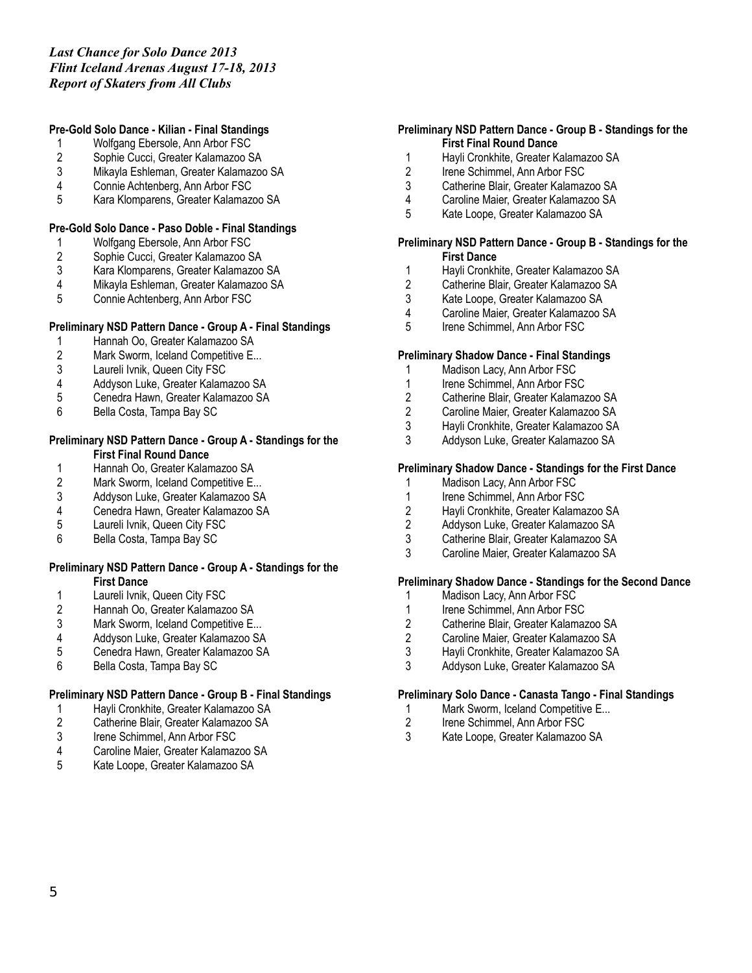## **Pre-Gold Solo Dance - Kilian - Final Standings**

- 1 Wolfgang Ebersole, Ann Arbor FSC
- 2 Sophie Cucci, Greater Kalamazoo SA<br>3 Mikavla Eshleman. Greater Kalamazoo
- 3 Mikayla Eshleman, Greater Kalamazoo SA
- 4 Connie Achtenberg, Ann Arbor FSC
- 5 Kara Klomparens, Greater Kalamazoo SA

## **Pre-Gold Solo Dance - Paso Doble - Final Standings**

- 1 Wolfgang Ebersole, Ann Arbor FSC<br>2 Sophie Cucci, Greater Kalamazoo S
- 2 Sophie Cucci, Greater Kalamazoo SA<br>3 Kara Klomparens, Greater Kalamazoo
- 3 Kara Klomparens, Greater Kalamazoo SA
- 4 Mikayla Eshleman, Greater Kalamazoo SA<br>5 Connie Achtenberg, Ann Arbor FSC
- 5 Connie Achtenberg, Ann Arbor FSC

### **Preliminary NSD Pattern Dance - Group A - Final Standings**

- 1 Hannah Oo, Greater Kalamazoo SA<br>2 Mark Sworm, Iceland Competitive E..
- Mark Sworm, Iceland Competitive E...
- 3 Laureli Ivnik, Queen City FSC
- 4 Addyson Luke, Greater Kalamazoo SA
- 5 Cenedra Hawn, Greater Kalamazoo SA
- 6 Bella Costa, Tampa Bay SC

### **Preliminary NSD Pattern Dance - Group A - Standings for the First Final Round Dance**

- 
- 1 Hannah Oo, Greater Kalamazoo SA<br>2 Mark Sworm, Iceland Competitive E.. Mark Sworm, Iceland Competitive E...
- 3 Addyson Luke, Greater Kalamazoo SA
- 4 Cenedra Hawn, Greater Kalamazoo SA<br>5 Laureli Ivnik. Queen City FSC
- Laureli Ivnik, Queen City FSC
- 6 Bella Costa, Tampa Bay SC

### **Preliminary NSD Pattern Dance - Group A - Standings for the First Dance**

- 
- 1 Laureli Ivnik, Queen City FSC<br>2 Hannah Oo, Greater Kalamazo 2 Hannah Oo, Greater Kalamazoo SA
- 
- 3 Mark Sworm, Iceland Competitive E...<br>4 Addyson Luke, Greater Kalamazoo SA
- 4 Addyson Luke, Greater Kalamazoo SA<br>5 Cenedra Hawn. Greater Kalamazoo SA 5 Cenedra Hawn, Greater Kalamazoo SA
- 6 Bella Costa, Tampa Bay SC

## **Preliminary NSD Pattern Dance - Group B - Final Standings**

- 
- 1 Hayli Cronkhite, Greater Kalamazoo SA<br>2 Catherine Blair, Greater Kalamazoo SA 2 Catherine Blair, Greater Kalamazoo SA<br>3 Irene Schimmel. Ann Arbor FSC
- Irene Schimmel, Ann Arbor FSC
- 4 Caroline Maier, Greater Kalamazoo SA
- 5 Kate Loope, Greater Kalamazoo SA

### **Preliminary NSD Pattern Dance - Group B - Standings for the First Final Round Dance**

- 1 Hayli Cronkhite, Greater Kalamazoo SA<br>2 Irene Schimmel, Ann Arbor FSC
- Irene Schimmel, Ann Arbor FSC
- 3 Catherine Blair, Greater Kalamazoo SA
- 4 Caroline Maier, Greater Kalamazoo SA
- 5 Kate Loope, Greater Kalamazoo SA

#### **Preliminary NSD Pattern Dance - Group B - Standings for the First Dance**

- 1 Hayli Cronkhite, Greater Kalamazoo SA
- 2 Catherine Blair, Greater Kalamazoo SA<br>3 Kate Loope. Greater Kalamazoo SA
- 3 Kate Loope, Greater Kalamazoo SA<br>4 Caroline Maier Greater Kalamazoo S
- 4 Caroline Maier, Greater Kalamazoo SA
- 5 Irene Schimmel, Ann Arbor FSC

### **Preliminary Shadow Dance - Final Standings**

- 1 Madison Lacy, Ann Arbor FSC
- 1 Irene Schimmel, Ann Arbor FSC
- 2 Catherine Blair, Greater Kalamazoo SA
- 2 Caroline Maier, Greater Kalamazoo SA<br>3 Havli Cronkhite, Greater Kalamazoo SA
- 3 Hayli Cronkhite, Greater Kalamazoo SA
- Addyson Luke, Greater Kalamazoo SA

## **Preliminary Shadow Dance - Standings for the First Dance**

- 1 Madison Lacy, Ann Arbor FSC
- 1 Irene Schimmel, Ann Arbor FSC
- 2 Hayli Cronkhite, Greater Kalamazoo SA
- 2 Addyson Luke, Greater Kalamazoo SA
- 3 Catherine Blair, Greater Kalamazoo SA
- 3 Caroline Maier, Greater Kalamazoo SA

# **Preliminary Shadow Dance - Standings for the Second Dance**

- 1 Madison Lacy, Ann Arbor FSC<br>1 Irene Schimmel. Ann Arbor FSC
- Irene Schimmel, Ann Arbor FSC
- 2 Catherine Blair, Greater Kalamazoo SA<br>2 Caroline Maier. Greater Kalamazoo SA
- 2 Caroline Maier, Greater Kalamazoo SA<br>3 Havli Cronkhite. Greater Kalamazoo SA
- 3 Hayli Cronkhite, Greater Kalamazoo SA
- 3 Addyson Luke, Greater Kalamazoo SA

## **Preliminary Solo Dance - Canasta Tango - Final Standings**

- 1 Mark Sworm, Iceland Competitive E...<br>2 Irene Schimmel. Ann Arbor FSC
- 2 Irene Schimmel, Ann Arbor FSC<br>3 Kate Loope, Greater Kalamazoo
- 3 Kate Loope, Greater Kalamazoo SA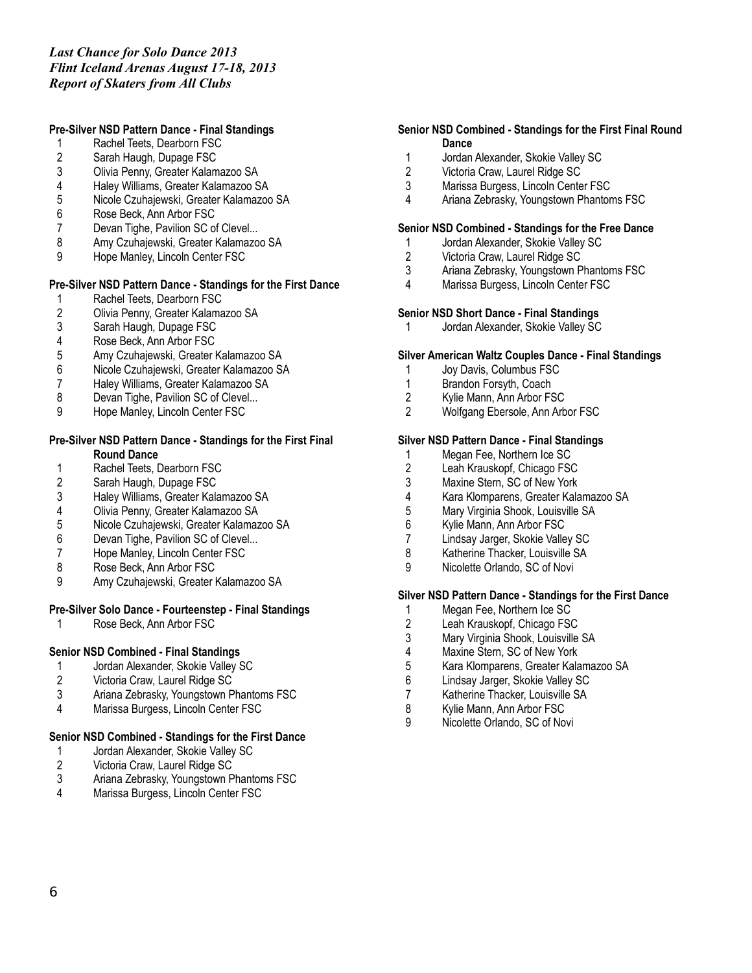## **Pre-Silver NSD Pattern Dance - Final Standings**

- 1 Rachel Teets, Dearborn FSC
- 2 Sarah Haugh, Dupage FSC<br>3 Olivia Penny. Greater Kalam
- 3 Olivia Penny, Greater Kalamazoo SA
- 4 Haley Williams, Greater Kalamazoo SA
- 5 Nicole Czuhajewski, Greater Kalamazoo SA
- 6 Rose Beck, Ann Arbor FSC
- 7 Devan Tighe, Pavilion SC of Clevel...
- 8 Amy Czuhajewski, Greater Kalamazoo SA<br>9 Hope Manley, Lincoln Center FSC
- Hope Manley, Lincoln Center FSC

### **Pre-Silver NSD Pattern Dance - Standings for the First Dance**

- Rachel Teets, Dearborn FSC
- 2 Olivia Penny, Greater Kalamazoo SA<br>3 Sarah Haugh, Dupage FSC
- 3 Sarah Haugh, Dupage FSC
- 4 Rose Beck, Ann Arbor FSC<br>5 Amy Czuhajewski, Greater I
- 5 Amy Czuhajewski, Greater Kalamazoo SA
- 6 Nicole Czuhajewski, Greater Kalamazoo SA
- 7 Haley Williams, Greater Kalamazoo SA
- 8 Devan Tighe, Pavilion SC of Clevel...
- 9 Hope Manley, Lincoln Center FSC

### **Pre-Silver NSD Pattern Dance - Standings for the First Final Round Dance**

- 1 Rachel Teets, Dearborn FSC<br>2 Sarah Haugh, Dupage FSC
- Sarah Haugh, Dupage FSC
- 3 Haley Williams, Greater Kalamazoo SA
- 4 Olivia Penny, Greater Kalamazoo SA<br>5 Nicole Czuhajewski, Greater Kalamaz
- 5 Nicole Czuhajewski, Greater Kalamazoo SA
- 6 Devan Tighe, Pavilion SC of Clevel...
- 7 Hope Manley, Lincoln Center FSC<br>8 Rose Beck. Ann Arbor FSC
- Rose Beck, Ann Arbor FSC
- 9 Amy Czuhajewski, Greater Kalamazoo SA

## **Pre-Silver Solo Dance - Fourteenstep - Final Standings**

1 Rose Beck, Ann Arbor FSC

## **Senior NSD Combined - Final Standings**

- 1 Jordan Alexander, Skokie Valley SC<br>2 Victoria Craw, Laurel Ridge SC
- 2 Victoria Craw, Laurel Ridge SC<br>3 Ariana Zebrasky, Youngstown P
- 3 Ariana Zebrasky, Youngstown Phantoms FSC
- 4 Marissa Burgess, Lincoln Center FSC

## **Senior NSD Combined - Standings for the First Dance**

- 1 Jordan Alexander, Skokie Valley SC<br>2 Victoria Craw, Laurel Ridge SC
- 2 Victoria Craw, Laurel Ridge SC<br>3 Ariana Zebrasky, Youngstown P
- Ariana Zebrasky, Youngstown Phantoms FSC
- 4 Marissa Burgess, Lincoln Center FSC

### **Senior NSD Combined - Standings for the First Final Round Dance**

- 1 Jordan Alexander, Skokie Valley SC<br>2 Victoria Craw, Laurel Ridge SC
- Victoria Craw, Laurel Ridge SC
- 3 Marissa Burgess, Lincoln Center FSC
- 4 Ariana Zebrasky, Youngstown Phantoms FSC

## **Senior NSD Combined - Standings for the Free Dance**

- 1 Jordan Alexander, Skokie Valley SC
- 2 Victoria Craw, Laurel Ridge SC<br>3 Ariana Zebrasky, Youngstown P
- Ariana Zebrasky, Youngstown Phantoms FSC
- 4 Marissa Burgess, Lincoln Center FSC

# **Senior NSD Short Dance - Final Standings**

1 Jordan Alexander, Skokie Valley SC

### **Silver American Waltz Couples Dance - Final Standings**

- 1 Joy Davis, Columbus FSC
- 1 Brandon Forsyth, Coach
- 2 Kylie Mann, Ann Arbor FSC
- 2 Wolfgang Ebersole, Ann Arbor FSC

### **Silver NSD Pattern Dance - Final Standings**

- 1 Megan Fee, Northern Ice SC
- 2 Leah Krauskopf, Chicago FSC<br>3 Maxine Stern. SC of New York
- Maxine Stern, SC of New York
- 4 Kara Klomparens, Greater Kalamazoo SA
- 5 Mary Virginia Shook, Louisville SA<br>6 Kylie Mann, Ann Arbor FSC
- Kylie Mann, Ann Arbor FSC
- 7 Lindsay Jarger, Skokie Valley SC
- 8 Katherine Thacker, Louisville SA<br>9 Nicolette Orlando, SC of Novi
- Nicolette Orlando, SC of Novi

# **Silver NSD Pattern Dance - Standings for the First Dance**

- 1 Megan Fee, Northern Ice SC
- 2 Leah Krauskopf, Chicago FSC<br>3 Mary Virginia Shook, Louisville
- Mary Virginia Shook, Louisville SA
- 4 Maxine Stern, SC of New York
- 5 Kara Klomparens, Greater Kalamazoo SA<br>6 Lindsav Jarger. Skokie Vallev SC
- 6 Lindsay Jarger, Skokie Valley SC<br>7 Katherine Thacker. Louisville SA
- Katherine Thacker, Louisville SA
- 8 Kylie Mann, Ann Arbor FSC<br>9 Nicolette Orlando, SC of No
- Nicolette Orlando, SC of Novi